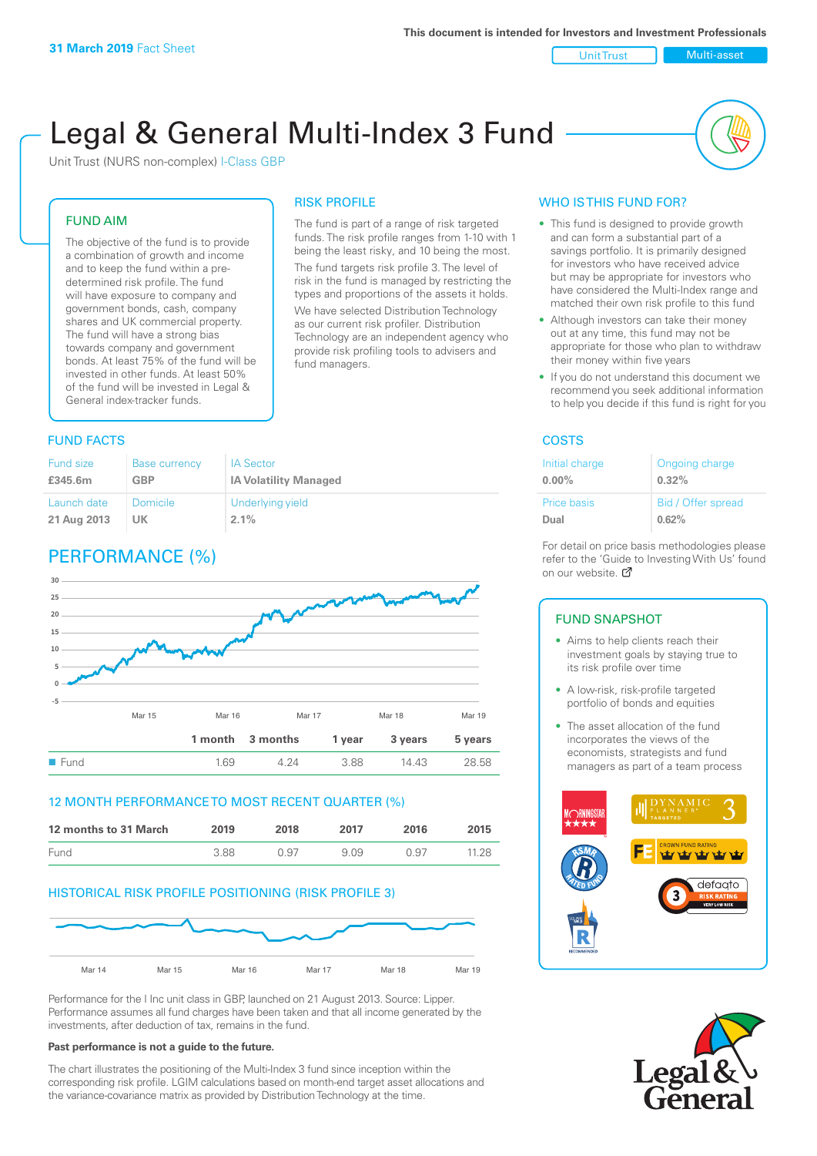Unit Trust Nulti-asset

# Legal & General Multi-Index 3 Fund

RISK PROFILE

fund managers.

The fund is part of a range of risk targeted funds. The risk profile ranges from 1-10 with 1 being the least risky, and 10 being the most. The fund targets risk profile 3. The level of risk in the fund is managed by restricting the types and proportions of the assets it holds. We have selected Distribution Technology as our current risk profiler. Distribution Technology are an independent agency who provide risk profiling tools to advisers and

Unit Trust (NURS non-complex) I-Class GBP

#### FUND AIM

The objective of the fund is to provide a combination of growth and income and to keep the fund within a predetermined risk profile. The fund will have exposure to company and government bonds, cash, company shares and UK commercial property. The fund will have a strong bias towards company and government bonds. At least 75% of the fund will be invested in other funds. At least 50% of the fund will be invested in Legal & General index-tracker funds.

#### **FUND FACTS** COSTS

| <b>Fund size</b> | <b>Base currency</b> | <b>IA Sector</b>             |
|------------------|----------------------|------------------------------|
| £345.6m          | <b>GBP</b>           | <b>IA Volatility Managed</b> |
| Launch date      | <b>Domicile</b>      | Underlying yield             |
| 21 Aug 2013      | UK                   | $2.1\%$                      |

## PERFORMANCE (%)



#### 12 MONTH PERFORMANCE TO MOST RECENT QUARTER (%)

| 12 months to 31 March | 2019 | 2018 | 2017 | 2016 | 2015  |
|-----------------------|------|------|------|------|-------|
| <b>Fund</b>           | 388  | በ 97 | 909  | O 97 | 11.28 |

#### HISTORICAL RISK PROFILE POSITIONING (RISK PROFILE 3)



Performance for the I Inc unit class in GBP, launched on 21 August 2013. Source: Lipper. Performance assumes all fund charges have been taken and that all income generated by the investments, after deduction of tax, remains in the fund.

#### **Past performance is not a guide to the future.**

The chart illustrates the positioning of the Multi-Index 3 fund since inception within the corresponding risk profile. LGIM calculations based on month-end target asset allocations and the variance-covariance matrix as provided by Distribution Technology at the time.

#### WHO IS THIS FUND FOR?

- This fund is designed to provide growth and can form a substantial part of a savings portfolio. It is primarily designed for investors who have received advice but may be appropriate for investors who have considered the Multi-Index range and matched their own risk profile to this fund
- Although investors can take their money out at any time, this fund may not be appropriate for those who plan to withdraw their money within five years
- If you do not understand this document we recommend you seek additional information to help you decide if this fund is right for you

| Initial charge     | Ongoing charge     |
|--------------------|--------------------|
| $0.00\%$           | 0.32%              |
| <b>Price basis</b> | Bid / Offer spread |
| Dual               | 0.62%              |

For detail on price basis methodologies please refer to the 'Gu[ide t](http://www.legalandgeneral.com/guide)o Investing With Us' found on our website. *C* 

#### FUND SNAPSHOT

- Aims to help clients reach their investment goals by staying true to its risk profile over time
- A low-risk, risk-profile targeted portfolio of bonds and equities
- The asset allocation of the fund incorporates the views of the economists, strategists and fund managers as part of a team process



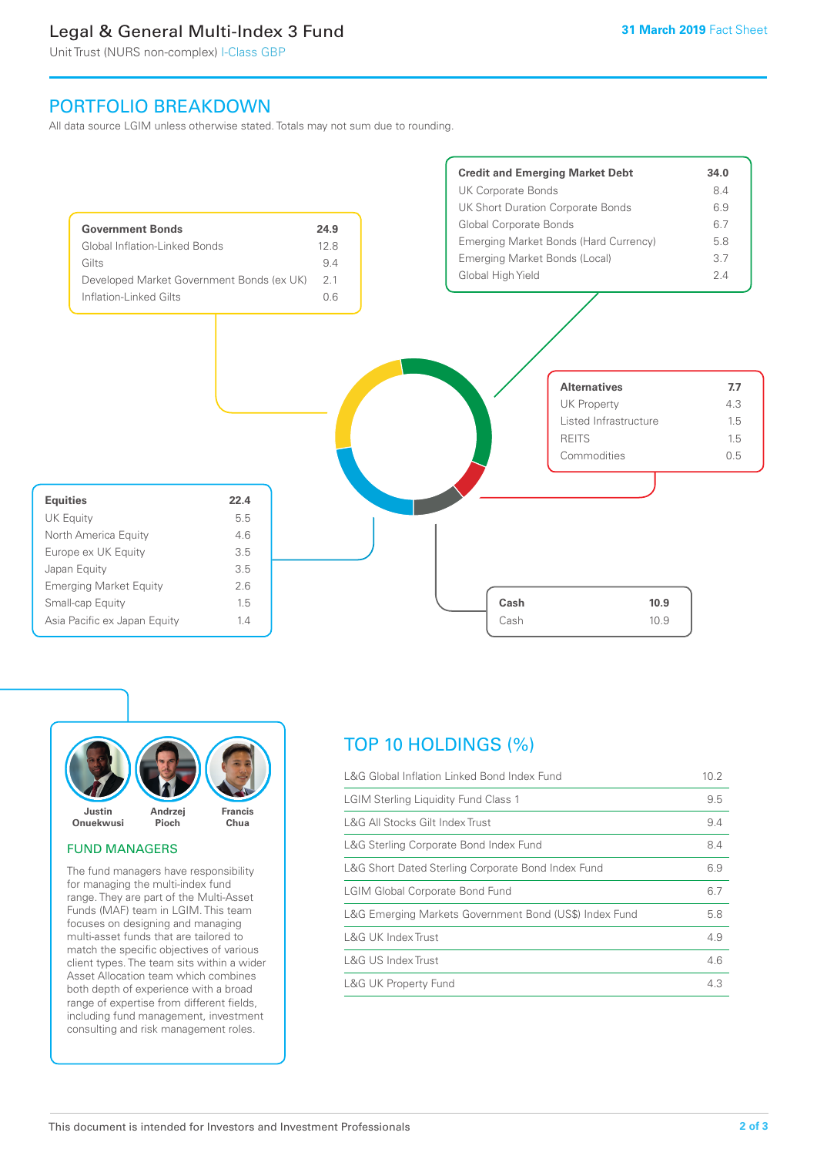## Legal & General Multi-Index 3 Fund

Unit Trust (NURS non-complex) I-Class GBP

## PORTFOLIO BREAKDOWN

All data source LGIM unless otherwise stated. Totals may not sum due to rounding.





#### FUND MANAGERS

The fund managers have responsibility for managing the multi-index fund range. They are part of the Multi-Asset Funds (MAF) team in LGIM. This team focuses on designing and managing multi-asset funds that are tailored to match the specific objectives of various client types. The team sits within a wider Asset Allocation team which combines both depth of experience with a broad range of expertise from different fields, including fund management, investment consulting and risk management roles.

## TOP 10 HOLDINGS (%)

| L&G Global Inflation Linked Bond Index Fund            | 10.2 |
|--------------------------------------------------------|------|
| <b>LGIM Sterling Liquidity Fund Class 1</b>            | 9.5  |
| L&G All Stocks Gilt Index Trust                        | 9.4  |
| L&G Sterling Corporate Bond Index Fund                 | 8.4  |
| L&G Short Dated Sterling Corporate Bond Index Fund     | 6.9  |
| <b>LGIM Global Corporate Bond Fund</b>                 | 6.7  |
| L&G Emerging Markets Government Bond (US\$) Index Fund | 5.8  |
| L&G UK Index Trust                                     | 4.9  |
| L&G US Index Trust                                     | 4.6  |
| <b>L&amp;G UK Property Fund</b>                        | 4.3  |